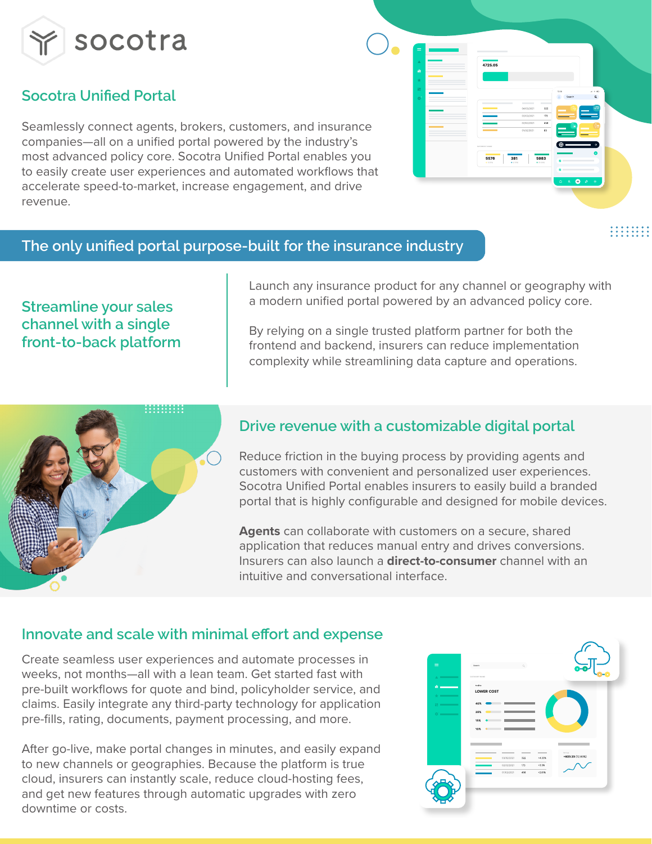

# **Socotra Unified Portal**

Seamlessly connect agents, brokers, customers, and insurance companies—all on a unified portal powered by the industry's most advanced policy core. Socotra Unified Portal enables you to easily create user experiences and automated workflows that accelerate speed-to-market, increase engagement, and drive revenue.

### **The only unified portal purpose-built for the insurance industry**

# .........

# **Streamline your sales channel with a single front-to-back platform**

Launch any insurance product for any channel or geography with a modern unified portal powered by an advanced policy core.

By relying on a single trusted platform partner for both the frontend and backend, insurers can reduce implementation complexity while streamlining data capture and operations.



# **Drive revenue with a customizable digital portal**

Reduce friction in the buying process by providing agents and customers with convenient and personalized user experiences. Socotra Unified Portal enables insurers to easily build a branded portal that is highly configurable and designed for mobile devices.

**Agents** can collaborate with customers on a secure, shared application that reduces manual entry and drives conversions. Insurers can also launch a **direct-to-consumer** channel with an intuitive and conversational interface.

## **Innovate and scale with minimal effort and expense**

Create seamless user experiences and automate processes in weeks, not months—all with a lean team. Get started fast with pre-built workflows for quote and bind, policyholder service, and claims. Easily integrate any third-party technology for application pre-fills, rating, documents, payment processing, and more.

After go-live, make portal changes in minutes, and easily expand to new channels or geographies. Because the platform is true cloud, insurers can instantly scale, reduce cloud-hosting fees, and get new features through automatic upgrades with zero downtime or costs.